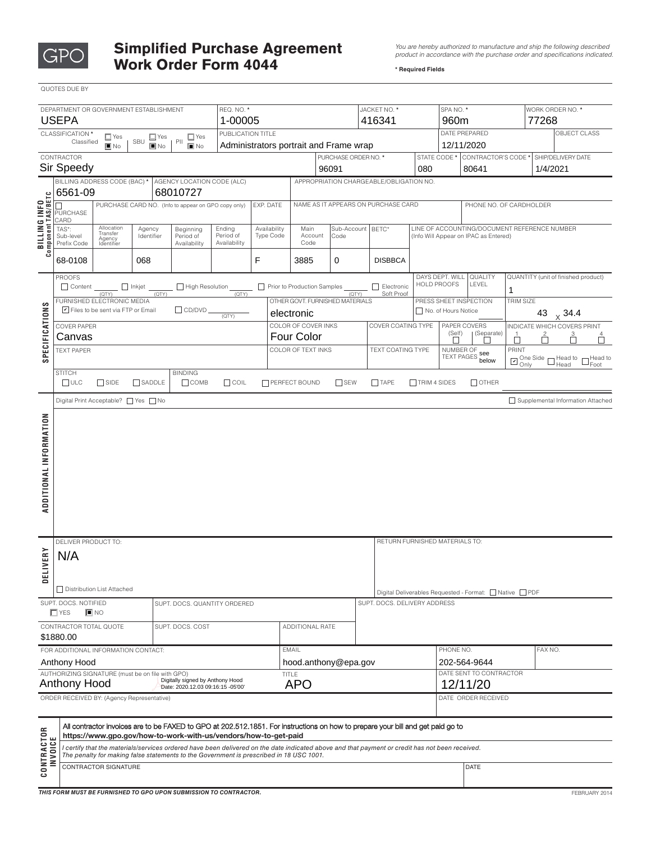

## Simplified Purchase Agreement *<i>You are hereby authorized to manufacture and ship the following described* **in the following described or and specifications** indicated **Work Order Form 4044** *Particular Sequired Fields**Prequired Fields*

*product in accordance with the purchase order and specifications indicated.* 

|                                                                                                                                                                              | QUOTES DUE BY                                                                                                                                                                                                                              |                                                                                                                                                                                       |             |                                      |                     |                               |                                          |                                          |                                |                                         |                                                                                       |                                                        |                                                     |                        |                                                                       |            |                                     |   |                                   |
|------------------------------------------------------------------------------------------------------------------------------------------------------------------------------|--------------------------------------------------------------------------------------------------------------------------------------------------------------------------------------------------------------------------------------------|---------------------------------------------------------------------------------------------------------------------------------------------------------------------------------------|-------------|--------------------------------------|---------------------|-------------------------------|------------------------------------------|------------------------------------------|--------------------------------|-----------------------------------------|---------------------------------------------------------------------------------------|--------------------------------------------------------|-----------------------------------------------------|------------------------|-----------------------------------------------------------------------|------------|-------------------------------------|---|-----------------------------------|
| REQ. NO. *<br>DEPARTMENT OR GOVERNMENT ESTABLISHMENT                                                                                                                         |                                                                                                                                                                                                                                            |                                                                                                                                                                                       |             |                                      |                     | JACKET NO. *                  |                                          |                                          |                                |                                         |                                                                                       | SPA NO. *                                              |                                                     | WORK ORDER NO. *       |                                                                       |            |                                     |   |                                   |
| <b>USEPA</b><br>1-00005                                                                                                                                                      |                                                                                                                                                                                                                                            |                                                                                                                                                                                       |             |                                      |                     | 416341                        |                                          |                                          |                                | 960m<br>DATE PREPARED                   |                                                                                       |                                                        | 77268                                               |                        |                                                                       |            |                                     |   |                                   |
| PUBLICATION TITLE<br>CLASSIFICATION*<br>$\Box$ Yes<br>$\Box$ Yes<br>$\square$ Yes<br>SBU<br>Classified<br>PII<br>$\blacksquare$ No<br>$\blacksquare$ No<br>$\blacksquare$ No |                                                                                                                                                                                                                                            |                                                                                                                                                                                       |             |                                      |                     |                               | Administrators portrait and Frame wrap   |                                          |                                |                                         |                                                                                       |                                                        | 12/11/2020                                          | OBJECT CLASS           |                                                                       |            |                                     |   |                                   |
| CONTRACTOR                                                                                                                                                                   |                                                                                                                                                                                                                                            |                                                                                                                                                                                       |             |                                      |                     |                               | PURCHASE ORDER NO. *                     |                                          |                                |                                         |                                                                                       | STATE CODE * CONTRACTOR'S CODE *<br>SHIP/DELIVERY DATE |                                                     |                        |                                                                       |            |                                     |   |                                   |
|                                                                                                                                                                              | <b>Sir Speedy</b>                                                                                                                                                                                                                          |                                                                                                                                                                                       |             |                                      |                     | 96091                         |                                          |                                          |                                | 080                                     |                                                                                       | 80641<br>1/4/2021                                      |                                                     |                        |                                                                       |            |                                     |   |                                   |
| BILLING INFO<br>Component TAS/BETC                                                                                                                                           | BILLING ADDRESS CODE (BAC) *<br>AGENCY LOCATION CODE (ALC)<br>6561-09<br>68010727                                                                                                                                                          |                                                                                                                                                                                       |             |                                      |                     |                               | APPROPRIATION CHARGEABLE/OBLIGATION NO.  |                                          |                                |                                         |                                                                                       |                                                        |                                                     |                        |                                                                       |            |                                     |   |                                   |
|                                                                                                                                                                              | PURCHASE CARD NO. (Info to appear on GPO copy only)                                                                                                                                                                                        |                                                                                                                                                                                       |             |                                      |                     | EXP. DATE                     |                                          | NAME AS IT APPEARS ON PURCHASE CARD      |                                |                                         |                                                                                       |                                                        |                                                     |                        | PHONE NO. OF CARDHOLDER                                               |            |                                     |   |                                   |
|                                                                                                                                                                              | PURCHASE<br>CARD<br>Allocation                                                                                                                                                                                                             |                                                                                                                                                                                       |             |                                      |                     | Sub-Account BETC*             |                                          |                                          |                                |                                         |                                                                                       |                                                        |                                                     |                        |                                                                       |            |                                     |   |                                   |
|                                                                                                                                                                              | TAS*:<br>Sub-level                                                                                                                                                                                                                         | Beginning<br>Ending<br>Availability<br>Agency<br>Transfer<br>Period of<br>Type Code<br>Identifier<br>Period of<br>Agency<br>Prefix Code<br>Availability<br>Availability<br>Identifier |             | Main<br>Account<br>Code              |                     | Code                          |                                          |                                          |                                |                                         | LINE OF ACCOUNTING/DOCUMENT REFERENCE NUMBER<br>(Info Will Appear on IPAC as Entered) |                                                        |                                                     |                        |                                                                       |            |                                     |   |                                   |
|                                                                                                                                                                              |                                                                                                                                                                                                                                            |                                                                                                                                                                                       |             |                                      |                     |                               |                                          |                                          |                                |                                         |                                                                                       |                                                        |                                                     |                        |                                                                       |            |                                     |   |                                   |
|                                                                                                                                                                              | F<br>68-0108<br>068                                                                                                                                                                                                                        |                                                                                                                                                                                       | 3885        |                                      | <b>DISBBCA</b><br>0 |                               |                                          |                                          |                                |                                         |                                                                                       |                                                        |                                                     |                        |                                                                       |            |                                     |   |                                   |
| <b>SPECIFICATIONS</b>                                                                                                                                                        | <b>PROOFS</b><br>Content<br>$\Box$ Inkjet<br>High Resolution                                                                                                                                                                               |                                                                                                                                                                                       |             |                                      |                     |                               | Prior to Production Samples              |                                          |                                |                                         | Electronic                                                                            |                                                        | DAYS DEPT. WILL<br><b>HOLD PROOFS</b>               | QUALITY<br>LEVEL<br>1  |                                                                       |            | QUANTITY (unit of finished product) |   |                                   |
|                                                                                                                                                                              | (QTY)<br>(QTY)<br>(QTY)<br>FURNISHED ELECTRONIC MEDIA                                                                                                                                                                                      |                                                                                                                                                                                       |             |                                      |                     |                               | (QTY)<br>OTHER GOVT. FURNISHED MATERIALS |                                          |                                |                                         | Soft Proof                                                                            |                                                        |                                                     | PRESS SHEET INSPECTION | TRIM SIZE                                                             |            |                                     |   |                                   |
|                                                                                                                                                                              | Files to be sent via FTP or Email<br>$\Box$ CD/DVD<br>(QTY)                                                                                                                                                                                |                                                                                                                                                                                       |             |                                      |                     |                               |                                          | electronic                               |                                |                                         |                                                                                       |                                                        |                                                     | No. of Hours Notice    |                                                                       |            | 43 $\times$ 34.4                    |   |                                   |
|                                                                                                                                                                              | <b>COVER PAPER</b>                                                                                                                                                                                                                         |                                                                                                                                                                                       |             |                                      |                     |                               |                                          | COLOR OF COVER INKS<br><b>Four Color</b> |                                |                                         |                                                                                       | COVER COATING TYPE                                     |                                                     | (Self)                 | PAPER COVERS<br>  (Separate)<br>$\overline{1}$                        |            | INDICATE WHICH COVERS PRINT         |   |                                   |
|                                                                                                                                                                              | Canvas<br><b>TEXT PAPER</b>                                                                                                                                                                                                                |                                                                                                                                                                                       |             |                                      |                     |                               |                                          | COLOR OF TEXT INKS                       |                                |                                         |                                                                                       | <b>TEXT COATING TYPE</b>                               | NUMBER OF                                           |                        |                                                                       | □<br>PRINT |                                     | Ò |                                   |
|                                                                                                                                                                              |                                                                                                                                                                                                                                            |                                                                                                                                                                                       |             |                                      |                     |                               |                                          |                                          |                                |                                         |                                                                                       |                                                        |                                                     | TEXT PAGES see         | $\square$ One Side $\square$ Head to $\square$ Head to $\square$ Foot |            |                                     |   |                                   |
|                                                                                                                                                                              | <b>STITCH</b><br>$\Box$ ULC                                                                                                                                                                                                                | $\Box$ SIDE                                                                                                                                                                           | $\Box$ COIL | $\Box$ SEW<br><b>T PERFECT BOUND</b> |                     |                               |                                          | $\Box$ TAPE<br>$\Box$ TRIM 4 SIDES       |                                |                                         | $\Box$ OTHER                                                                          |                                                        |                                                     |                        |                                                                       |            |                                     |   |                                   |
|                                                                                                                                                                              | Digital Print Acceptable?   Yes   No                                                                                                                                                                                                       |                                                                                                                                                                                       |             |                                      |                     |                               |                                          |                                          |                                |                                         |                                                                                       |                                                        |                                                     |                        |                                                                       |            |                                     |   | Supplemental Information Attached |
|                                                                                                                                                                              |                                                                                                                                                                                                                                            |                                                                                                                                                                                       |             |                                      |                     |                               |                                          |                                          |                                |                                         |                                                                                       |                                                        |                                                     |                        |                                                                       |            |                                     |   |                                   |
| ADDITIONAL INFORMATION                                                                                                                                                       |                                                                                                                                                                                                                                            |                                                                                                                                                                                       |             |                                      |                     |                               |                                          |                                          |                                |                                         |                                                                                       |                                                        |                                                     |                        |                                                                       |            |                                     |   |                                   |
|                                                                                                                                                                              | DELIVER PRODUCT TO:                                                                                                                                                                                                                        |                                                                                                                                                                                       |             |                                      |                     |                               |                                          |                                          | RETURN FURNISHED MATERIALS TO: |                                         |                                                                                       |                                                        |                                                     |                        |                                                                       |            |                                     |   |                                   |
| ERY                                                                                                                                                                          | N/A                                                                                                                                                                                                                                        |                                                                                                                                                                                       |             |                                      |                     |                               |                                          |                                          |                                |                                         |                                                                                       |                                                        |                                                     |                        |                                                                       |            |                                     |   |                                   |
| DELIV                                                                                                                                                                        |                                                                                                                                                                                                                                            |                                                                                                                                                                                       |             |                                      |                     |                               |                                          |                                          |                                |                                         |                                                                                       |                                                        |                                                     |                        |                                                                       |            |                                     |   |                                   |
|                                                                                                                                                                              | Distribution List Attached                                                                                                                                                                                                                 |                                                                                                                                                                                       |             |                                      |                     |                               |                                          |                                          |                                |                                         |                                                                                       |                                                        | Digital Deliverables Requested - Format: Native PDF |                        |                                                                       |            |                                     |   |                                   |
| SUPT. DOCS. NOTIFIED<br>SUPT, DOCS, QUANTITY ORDERED<br>$\Box$ YES                                                                                                           |                                                                                                                                                                                                                                            |                                                                                                                                                                                       |             |                                      |                     | SUPT. DOCS. DELIVERY ADDRESS  |                                          |                                          |                                |                                         |                                                                                       |                                                        |                                                     |                        |                                                                       |            |                                     |   |                                   |
|                                                                                                                                                                              |                                                                                                                                                                                                                                            | $\blacksquare$ NO<br>CONTRACTOR TOTAL QUOTE<br>SUPT. DOCS. COST                                                                                                                       |             |                                      |                     |                               |                                          |                                          | ADDITIONAL RATE                |                                         |                                                                                       |                                                        |                                                     |                        |                                                                       |            |                                     |   |                                   |
|                                                                                                                                                                              | \$1880.00                                                                                                                                                                                                                                  |                                                                                                                                                                                       |             |                                      |                     |                               |                                          |                                          |                                |                                         |                                                                                       |                                                        |                                                     |                        |                                                                       |            |                                     |   |                                   |
| FOR ADDITIONAL INFORMATION CONTACT:                                                                                                                                          |                                                                                                                                                                                                                                            |                                                                                                                                                                                       |             |                                      |                     | <b>EMAIL</b>                  |                                          |                                          |                                |                                         |                                                                                       | PHONE NO.                                              |                                                     |                        | FAX NO.                                                               |            |                                     |   |                                   |
| Anthony Hood<br>AUTHORIZING SIGNATURE (must be on file with GPO)                                                                                                             |                                                                                                                                                                                                                                            |                                                                                                                                                                                       |             |                                      |                     | hood.anthony@epa.gov<br>TITLE |                                          |                                          |                                | 202-564-9644<br>DATE SENT TO CONTRACTOR |                                                                                       |                                                        |                                                     |                        |                                                                       |            |                                     |   |                                   |
| Digitally signed by Anthony Hood<br>Anthony Hood<br>Date: 2020.12.03 09:16:15 -05'00'                                                                                        |                                                                                                                                                                                                                                            |                                                                                                                                                                                       |             |                                      |                     | <b>APO</b>                    |                                          |                                          |                                |                                         | 12/11/20                                                                              |                                                        |                                                     |                        |                                                                       |            |                                     |   |                                   |
|                                                                                                                                                                              | ORDER RECEIVED BY: (Agency Representative)                                                                                                                                                                                                 |                                                                                                                                                                                       |             |                                      |                     |                               |                                          |                                          |                                |                                         |                                                                                       |                                                        | DATE ORDER RECEIVED                                 |                        |                                                                       |            |                                     |   |                                   |
|                                                                                                                                                                              |                                                                                                                                                                                                                                            |                                                                                                                                                                                       |             |                                      |                     |                               |                                          |                                          |                                |                                         |                                                                                       |                                                        |                                                     |                        |                                                                       |            |                                     |   |                                   |
| <b>CONTRACTOR</b><br>INVOICE                                                                                                                                                 | All contractor invoices are to be FAXED to GPO at 202.512.1851. For instructions on how to prepare your bill and get paid go to<br>https://www.gpo.gov/how-to-work-with-us/vendors/how-to-get-paid                                         |                                                                                                                                                                                       |             |                                      |                     |                               |                                          |                                          |                                |                                         |                                                                                       |                                                        |                                                     |                        |                                                                       |            |                                     |   |                                   |
|                                                                                                                                                                              | I certify that the materials/services ordered have been delivered on the date indicated above and that payment or credit has not been received.<br>The penalty for making false statements to the Government is prescribed in 18 USC 1001. |                                                                                                                                                                                       |             |                                      |                     |                               |                                          |                                          |                                |                                         |                                                                                       |                                                        |                                                     |                        |                                                                       |            |                                     |   |                                   |
|                                                                                                                                                                              | CONTRACTOR SIGNATURE                                                                                                                                                                                                                       |                                                                                                                                                                                       |             |                                      |                     |                               |                                          |                                          |                                |                                         | DATE                                                                                  |                                                        |                                                     |                        |                                                                       |            |                                     |   |                                   |
|                                                                                                                                                                              |                                                                                                                                                                                                                                            |                                                                                                                                                                                       |             |                                      |                     |                               |                                          |                                          |                                |                                         |                                                                                       |                                                        |                                                     |                        |                                                                       |            |                                     |   |                                   |